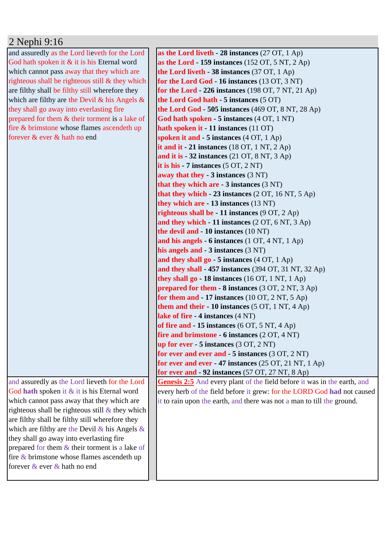## 2 Nephi 9:16

and assuredly as the Lord lieveth for the Lord God hath spoken it & it is his Eternal word which cannot pass away that they which are righteous shall be righteous still & they which are filthy shall be filthy still wherefore they which are filthy are the Devil  $\&$  his Angels  $\&$ they shall go away into everlasting fire prepared for them & their torment is a lake of fire & brimstone whose flames ascendeth up forever & ever & hath no end

and assuredly as the Lord lieveth for the Lord God **hath** spoken it & it is his Eternal word which cannot pass away that they which are righteous shall be righteous still  $\&$  they which are filthy shall be filthy still wherefore they which are filthy are the Devil  $\&$  his Angels  $\&$ they shall go away into everlasting fire prepared for them & their torment is a lake of fire & brimstone whose flames ascendeth up forever & ever & hath no end

**as the Lord liveth - 28 instances** (27 OT, 1 Ap) **as the Lord - 159 instances** (152 OT, 5 NT, 2 Ap) **the Lord liveth - 38 instances** (37 OT, 1 Ap) **for the Lord God - 16 instances** (13 OT, 3 NT) **for the Lord - 226 instances** (198 OT, 7 NT, 21 Ap) **the Lord God hath - 5 instances** (5 OT) **the Lord God - 505 instances** (469 OT, 8 NT, 28 Ap) **God hath spoken - 5 instances** (4 OT, 1 NT) **hath spoken it - 11 instances** (11 OT) **spoken it and - 5 instances** (4 OT, 1 Ap) **it and it - 21 instances** (18 OT, 1 NT, 2 Ap) **and it is - 32 instances** (21 OT, 8 NT, 3 Ap) **it is his - 7 instances** (5 OT, 2 NT) **away that they - 3 instances** (3 NT) **that they which are - 3 instances** (3 NT) **that they which - 23 instances** (2 OT, 16 NT, 5 Ap) **they which are - 13 instances** (13 NT) **righteous shall be - 11 instances** (9 OT, 2 Ap) **and they which - 11 instances** (2 OT, 6 NT, 3 Ap) **the devil and - 10 instances** (10 NT) **and his angels - 6 instances** (1 OT, 4 NT, 1 Ap) **his angels and - 3 instances** (3 NT) **and they shall go - 5 instances** (4 OT, 1 Ap) **and they shall - 457 instances** (394 OT, 31 NT, 32 Ap) **they shall go - 18 instances** (16 OT, 1 NT, 1 Ap) **prepared for them - 8 instances** (3 OT, 2 NT, 3 Ap) **for them and - 17 instances** (10 OT, 2 NT, 5 Ap) **them and their - 10 instances** (5 OT, 1 NT, 4 Ap) **lake of fire - 4 instances** (4 NT) **of fire and - 15 instances** (6 OT, 5 NT, 4 Ap) **fire and brimstone - 6 instances** (2 OT, 4 NT) **up for ever - 5 instances** (3 OT, 2 NT) **for ever and ever and - 5 instances** (3 OT, 2 NT) **for ever and ever - 47 instances** (25 OT, 21 NT, 1 Ap) **for ever and - 92 instances** (57 OT, 27 NT, 8 Ap)

Genesis 2:5 And every plant of the field before it was in the earth, and every herb of the field before it grew: for the LORD God **had** not caused it to rain upon the earth, and there was not a man to till the ground.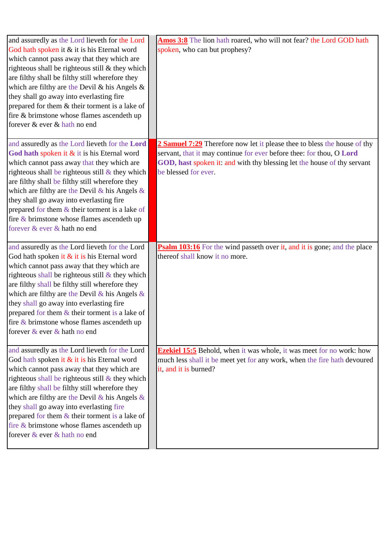| and assuredly as the Lord lieveth for the Lord<br>God hath spoken it & it is his Eternal word<br>which cannot pass away that they which are<br>righteous shall be righteous still & they which<br>are filthy shall be filthy still wherefore they<br>which are filthy are the Devil & his Angels $\&$<br>they shall go away into everlasting fire<br>prepared for them & their torment is a lake of<br>fire & brimstone whose flames ascendeth up<br>forever & ever & hath no end        | Amos 3:8 The lion hath roared, who will not fear? the Lord GOD hath<br>spoken, who can but prophesy?                                                                                                                                                |
|------------------------------------------------------------------------------------------------------------------------------------------------------------------------------------------------------------------------------------------------------------------------------------------------------------------------------------------------------------------------------------------------------------------------------------------------------------------------------------------|-----------------------------------------------------------------------------------------------------------------------------------------------------------------------------------------------------------------------------------------------------|
| and assuredly as the Lord lieveth for the Lord<br>God hath spoken it $\&$ it is his Eternal word<br>which cannot pass away that they which are<br>righteous shall be righteous still $&$ they which<br>are filthy shall be filthy still wherefore they<br>which are filthy are the Devil & his Angels $\&$<br>they shall go away into everlasting fire<br>prepared for them $&$ their torment is a lake of<br>fire & brimstone whose flames ascendeth up<br>forever & ever & hath no end | 2 Samuel 7:29 Therefore now let it please thee to bless the house of thy<br>servant, that it may continue for ever before thee: for thou, O Lord<br>GOD, hast spoken it: and with thy blessing let the house of thy servant<br>be blessed for ever. |
| and assuredly as the Lord lieveth for the Lord<br>God hath spoken it & it is his Eternal word<br>which cannot pass away that they which are<br>righteous shall be righteous still & they which<br>are filthy shall be filthy still wherefore they<br>which are filthy are the Devil & his Angels $\&$<br>they shall go away into everlasting fire<br>prepared for them $&$ their torment is a lake of<br>fire & brimstone whose flames ascendeth up<br>forever & ever & hath no end      | <b>Psalm 103:16</b> For the wind passeth over it, and it is gone; and the place<br>thereof shall know it no more.                                                                                                                                   |
| and assuredly as the Lord lieveth for the Lord<br>God hath spoken it & it is his Eternal word<br>which cannot pass away that they which are<br>righteous shall be righteous still & they which<br>are filthy shall be filthy still wherefore they<br>which are filthy are the Devil $\&$ his Angels $\&$<br>they shall go away into everlasting fire<br>prepared for them & their torment is a lake of<br>fire & brimstone whose flames ascendeth up<br>forever & ever & hath no end     | <b>Ezekiel 15:5</b> Behold, when it was whole, it was meet for no work: how<br>much less shall it be meet yet for any work, when the fire hath devoured<br>it, and it is burned?                                                                    |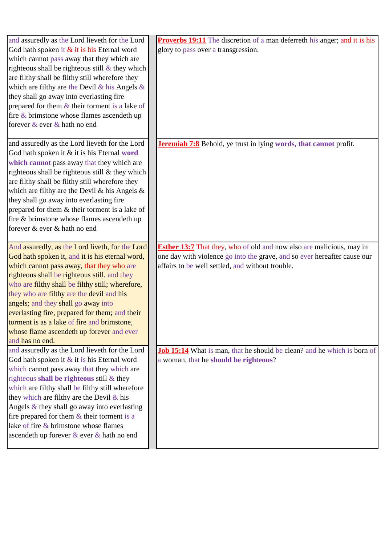| and assuredly as the Lord lieveth for the Lord      | <b>Proverbs 19:11</b> The discretion of a man deferreth his anger; and it is his |
|-----------------------------------------------------|----------------------------------------------------------------------------------|
| God hath spoken it & it is his Eternal word         | glory to pass over a transgression.                                              |
| which cannot pass away that they which are          |                                                                                  |
| righteous shall be righteous still $\&$ they which  |                                                                                  |
| are filthy shall be filthy still wherefore they     |                                                                                  |
| which are filthy are the Devil $\&$ his Angels $\&$ |                                                                                  |
| they shall go away into everlasting fire            |                                                                                  |
| prepared for them & their torment is a lake of      |                                                                                  |
| fire $\&$ brimstone whose flames ascendeth up       |                                                                                  |
| forever & ever & hath no end                        |                                                                                  |
| and assuredly as the Lord lieveth for the Lord      | <b>Jeremiah 7:8</b> Behold, ye trust in lying words, that cannot profit.         |
| God hath spoken it & it is his Eternal word         |                                                                                  |
| which cannot pass away that they which are          |                                                                                  |
| righteous shall be righteous still & they which     |                                                                                  |
| are filthy shall be filthy still wherefore they     |                                                                                  |
| which are filthy are the Devil & his Angels $\&$    |                                                                                  |
| they shall go away into everlasting fire            |                                                                                  |
| prepared for them & their torment is a lake of      |                                                                                  |
| fire & brimstone whose flames ascendeth up          |                                                                                  |
| forever & ever & hath no end                        |                                                                                  |
|                                                     |                                                                                  |
| And assuredly, as the Lord liveth, for the Lord     | <b>Esther 13:7</b> That they, who of old and now also are malicious, may in      |
| God hath spoken it, and it is his eternal word,     | one day with violence go into the grave, and so ever hereafter cause our         |
| which cannot pass away, that they who are           | affairs to be well settled, and without trouble.                                 |
| righteous shall be righteous still, and they        |                                                                                  |
| who are filthy shall be filthy still; wherefore,    |                                                                                  |
| they who are filthy are the devil and his           |                                                                                  |
| angels; and they shall go away into                 |                                                                                  |
| everlasting fire, prepared for them; and their      |                                                                                  |
| torment is as a lake of fire and brimstone,         |                                                                                  |
| whose flame ascendeth up forever and ever           |                                                                                  |
| and has no end.                                     |                                                                                  |
| and assuredly as the Lord lieveth for the Lord      | <b>Job 15:14</b> What is man, that he should be clean? and he which is born of   |
| God hath spoken it $&$ it is his Eternal word       | a woman, that he should be righteous?                                            |
| which cannot pass away that they which are          |                                                                                  |
| righteous shall be righteous still $\&$ they        |                                                                                  |
| which are filthy shall be filthy still wherefore    |                                                                                  |
| they which are filthy are the Devil $\&$ his        |                                                                                  |
| Angels $\&$ they shall go away into everlasting     |                                                                                  |
| fire prepared for them $&$ their torment is a       |                                                                                  |
| lake of fire & brimstone whose flames               |                                                                                  |
| ascendeth up forever & ever & hath no end           |                                                                                  |
|                                                     |                                                                                  |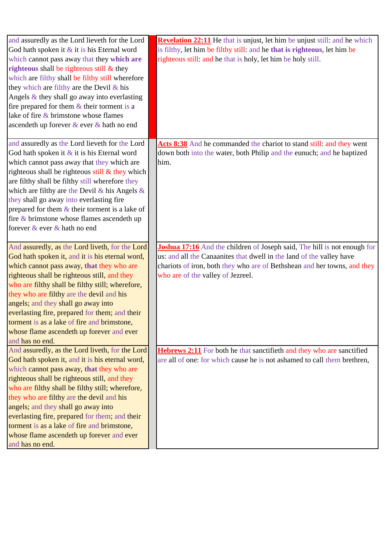| and assuredly as the Lord lieveth for the Lord<br>God hath spoken it & it is his Eternal word<br>which cannot pass away that they which are<br>righteous shall be righteous still $\&$ they<br>which are filthy shall be filthy still wherefore<br>they which are filthy are the Devil $\&$ his<br>Angels $\&$ they shall go away into everlasting<br>fire prepared for them $&$ their torment is a<br>lake of fire & brimstone whose flames                                                                                               | <b>Revelation 22:11</b> He that is unjust, let him be unjust still: and he which<br>is filthy, let him be filthy still: and he that is righteous, let him be<br>righteous still: and he that is holy, let him be holy still.                                             |
|--------------------------------------------------------------------------------------------------------------------------------------------------------------------------------------------------------------------------------------------------------------------------------------------------------------------------------------------------------------------------------------------------------------------------------------------------------------------------------------------------------------------------------------------|--------------------------------------------------------------------------------------------------------------------------------------------------------------------------------------------------------------------------------------------------------------------------|
| ascendeth up forever & ever & hath no end<br>and assuredly as the Lord lieveth for the Lord<br>God hath spoken it $\&$ it is his Eternal word<br>which cannot pass away that they which are<br>righteous shall be righteous still $\&$ they which<br>are filthy shall be filthy still wherefore they<br>which are filthy are the Devil & his Angels $\&$<br>they shall go away into everlasting fire<br>prepared for them $\&$ their torment is a lake of<br>fire $\&$ brimstone whose flames ascendeth up<br>forever & ever & hath no end | Acts 8:38 And he commanded the chariot to stand still: and they went<br>down both into the water, both Philip and the eunuch; and he baptized<br>him.                                                                                                                    |
| And assuredly, as the Lord liveth, for the Lord<br>God hath spoken it, and it is his eternal word,<br>which cannot pass away, that they who are<br>righteous shall be righteous still, and they<br>who are filthy shall be filthy still; wherefore,<br>they who are filthy are the devil and his<br>angels; and they shall go away into<br>everlasting fire, prepared for them; and their<br>torment is as a lake of fire and brimstone,<br>whose flame ascendeth up forever and ever<br>and has no end.                                   | <b>Joshua 17:16</b> And the children of Joseph said, The hill is not enough for<br>us: and all the Canaanites that dwell in the land of the valley have<br>chariots of iron, both they who are of Bethshean and her towns, and they<br>who are of the valley of Jezreel. |
| And assuredly, as the Lord liveth, for the Lord<br>God hath spoken it, and it is his eternal word,<br>which cannot pass away, that they who are<br>righteous shall be righteous still, and they<br>who are filthy shall be filthy still; wherefore,<br>they who are filthy are the devil and his<br>angels; and they shall go away into<br>everlasting fire, prepared for them; and their<br>torment is as a lake of fire and brimstone,<br>whose flame ascendeth up forever and ever<br>and has no end.                                   | <b>Hebrews 2:11</b> For both he that sanctifieth and they who are sanctified<br>are all of one: for which cause he is not ashamed to call them brethren,                                                                                                                 |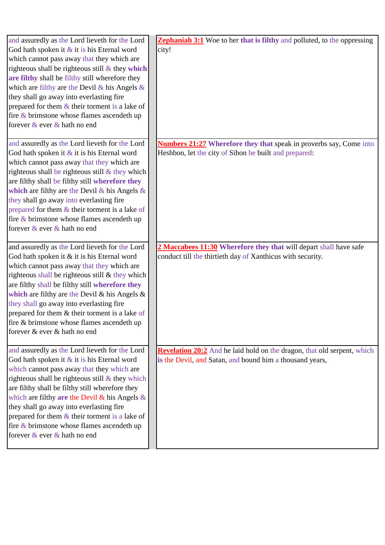| and assuredly as the Lord lieveth for the Lord      | <b>Zephaniah 3:1</b> Woe to her that is filthy and polluted, to the oppressing |
|-----------------------------------------------------|--------------------------------------------------------------------------------|
| God hath spoken it & it is his Eternal word         | city!                                                                          |
| which cannot pass away that they which are          |                                                                                |
| righteous shall be righteous still $\&$ they which  |                                                                                |
| are filthy shall be filthy still wherefore they     |                                                                                |
| which are filthy are the Devil $\&$ his Angels $\&$ |                                                                                |
| they shall go away into everlasting fire            |                                                                                |
| prepared for them $&$ their torment is a lake of    |                                                                                |
| fire & brimstone whose flames ascendeth up          |                                                                                |
| forever & ever & hath no end                        |                                                                                |
|                                                     |                                                                                |
| and assuredly as the Lord lieveth for the Lord      | <b>Numbers 21:27</b> Wherefore they that speak in proverbs say, Come into      |
| God hath spoken it $&$ it is his Eternal word       | Heshbon, let the city of Sihon be built and prepared:                          |
| which cannot pass away that they which are          |                                                                                |
| righteous shall be righteous still $&$ they which   |                                                                                |
| are filthy shall be filthy still wherefore they     |                                                                                |
| which are filthy are the Devil & his Angels $\&$    |                                                                                |
| they shall go away into everlasting fire            |                                                                                |
| prepared for them $&$ their torment is a lake of    |                                                                                |
| fire & brimstone whose flames ascendeth up          |                                                                                |
| forever & ever & hath no end                        |                                                                                |
|                                                     |                                                                                |
| and assuredly as the Lord lieveth for the Lord      | 2 Maccabees 11:30 Wherefore they that will depart shall have safe              |
| God hath spoken it & it is his Eternal word         | conduct till the thirtieth day of Xanthicus with security.                     |
|                                                     |                                                                                |
|                                                     |                                                                                |
| which cannot pass away that they which are          |                                                                                |
| righteous shall be righteous still & they which     |                                                                                |
| are filthy shall be filthy still wherefore they     |                                                                                |
| which are filthy are the Devil & his Angels $\&$    |                                                                                |
| they shall go away into everlasting fire            |                                                                                |
| prepared for them & their torment is a lake of      |                                                                                |
| fire & brimstone whose flames ascendeth up          |                                                                                |
| forever & ever & hath no end                        |                                                                                |
|                                                     |                                                                                |
| and assuredly as the Lord lieveth for the Lord      | <b>Revelation 20:2</b> And he laid hold on the dragon, that old serpent, which |
| God hath spoken it & it is his Eternal word         | is the Devil, and Satan, and bound him a thousand years,                       |
| which cannot pass away that they which are          |                                                                                |
| righteous shall be righteous still $&$ they which   |                                                                                |
| are filthy shall be filthy still wherefore they     |                                                                                |
| which are filthy are the Devil $\&$ his Angels $\&$ |                                                                                |
| they shall go away into everlasting fire            |                                                                                |
| prepared for them $&$ their torment is a lake of    |                                                                                |
| fire $\&$ brimstone whose flames ascendeth up       |                                                                                |
| forever & ever & hath no end                        |                                                                                |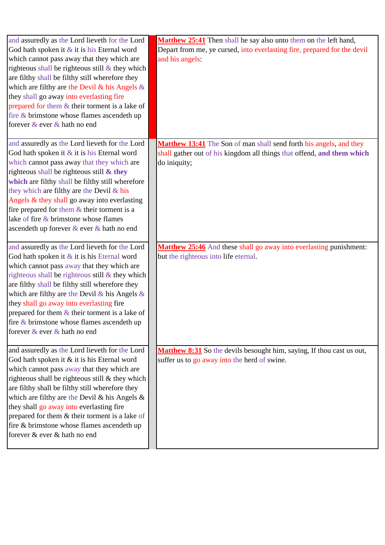| and assuredly as the Lord lieveth for the Lord<br>God hath spoken it & it is his Eternal word<br>which cannot pass away that they which are<br>righteous shall be righteous still $\&$ they which<br>are filthy shall be filthy still wherefore they<br>which are filthy are the Devil $\&$ his Angels $\&$<br>they shall go away into everlasting fire<br>prepared for them & their torment is a lake of<br>fire & brimstone whose flames ascendeth up<br>forever & ever & hath no end | Matthew 25:41 Then shall he say also unto them on the left hand,<br>Depart from me, ye cursed, into everlasting fire, prepared for the devil<br>and his angels: |
|-----------------------------------------------------------------------------------------------------------------------------------------------------------------------------------------------------------------------------------------------------------------------------------------------------------------------------------------------------------------------------------------------------------------------------------------------------------------------------------------|-----------------------------------------------------------------------------------------------------------------------------------------------------------------|
| and assuredly as the Lord lieveth for the Lord<br>God hath spoken it $&$ it is his Eternal word<br>which cannot pass away that they which are<br>righteous shall be righteous still $\&$ they<br>which are filthy shall be filthy still wherefore<br>they which are filthy are the Devil & his<br>Angels & they shall go away into everlasting<br>fire prepared for them & their torment is a<br>lake of fire & brimstone whose flames<br>ascendeth up forever & ever & hath no end     | Matthew 13:41 The Son of man shall send forth his angels, and they<br>shall gather out of his kingdom all things that offend, and them which<br>do iniquity;    |
| and assuredly as the Lord lieveth for the Lord<br>God hath spoken it & it is his Eternal word<br>which cannot pass away that they which are<br>righteous shall be righteous still & they which<br>are filthy shall be filthy still wherefore they<br>which are filthy are the Devil & his Angels $\&$<br>they shall go away into everlasting fire<br>prepared for them $&$ their torment is a lake of<br>fire $\&$ brimstone whose flames ascendeth up<br>forever & ever & hath no end  | Matthew 25:46 And these shall go away into everlasting punishment:<br>but the righteous into life eternal.                                                      |
| and assuredly as the Lord lieveth for the Lord<br>God hath spoken it & it is his Eternal word<br>which cannot pass away that they which are<br>righteous shall be righteous still & they which<br>are filthy shall be filthy still wherefore they<br>which are filthy are the Devil $\&$ his Angels $\&$<br>they shall go away into everlasting fire<br>prepared for them & their torment is a lake of<br>fire & brimstone whose flames ascendeth up<br>forever & ever & hath no end    | <b>Matthew 8:31</b> So the devils besought him, saying, If thou cast us out,<br>suffer us to go away into the herd of swine.                                    |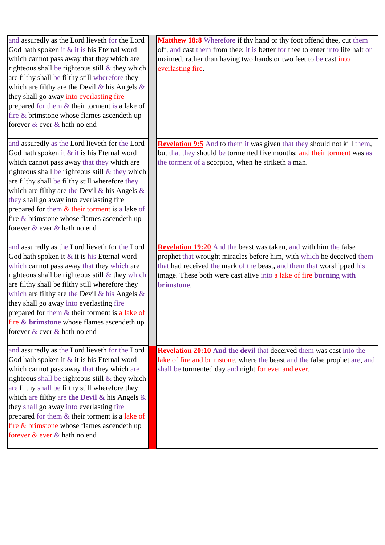| and assuredly as the Lord lieveth for the Lord<br>God hath spoken it & it is his Eternal word<br>which cannot pass away that they which are<br>righteous shall be righteous still $\&$ they which<br>are filthy shall be filthy still wherefore they<br>which are filthy are the Devil & his Angels $\&$<br>they shall go away into everlasting fire<br>prepared for them & their torment is a lake of<br>fire & brimstone whose flames ascendeth up<br>forever & ever & hath no end     | Matthew 18:8 Wherefore if thy hand or thy foot offend thee, cut them<br>off, and cast them from thee: it is better for thee to enter into life halt or<br>maimed, rather than having two hands or two feet to be cast into<br>everlasting fire.                                                        |
|------------------------------------------------------------------------------------------------------------------------------------------------------------------------------------------------------------------------------------------------------------------------------------------------------------------------------------------------------------------------------------------------------------------------------------------------------------------------------------------|--------------------------------------------------------------------------------------------------------------------------------------------------------------------------------------------------------------------------------------------------------------------------------------------------------|
| and assuredly as the Lord lieveth for the Lord<br>God hath spoken it $&$ it is his Eternal word<br>which cannot pass away that they which are<br>righteous shall be righteous still & they which<br>are filthy shall be filthy still wherefore they<br>which are filthy are the Devil & his Angels $\&$<br>they shall go away into everlasting fire<br>prepared for them $&$ their torment is a lake of<br>fire $\&$ brimstone whose flames ascendeth up<br>forever & ever & hath no end | <b>Revelation 9:5</b> And to them it was given that they should not kill them,<br>but that they should be tormented five months: and their torment was as<br>the torment of a scorpion, when he striketh a man.                                                                                        |
| and assuredly as the Lord lieveth for the Lord<br>God hath spoken it & it is his Eternal word<br>which cannot pass away that they which are<br>righteous shall be righteous still & they which<br>are filthy shall be filthy still wherefore they<br>which are filthy are the Devil $\&$ his Angels $\&$<br>they shall go away into everlasting fire<br>prepared for them & their torment is a lake of<br>fire & brimstone whose flames ascendeth up<br>forever & ever & hath no end     | Revelation 19:20 And the beast was taken, and with him the false<br>prophet that wrought miracles before him, with which he deceived them<br>that had received the mark of the beast, and them that worshipped his<br>image. These both were cast alive into a lake of fire burning with<br>brimstone. |
| and assuredly as the Lord lieveth for the Lord<br>God hath spoken it & it is his Eternal word<br>which cannot pass away that they which are<br>righteous shall be righteous still $&$ they which<br>are filthy shall be filthy still wherefore they<br>which are filthy are the Devil $\&$ his Angels $\&$<br>they shall go away into everlasting fire<br>prepared for them & their torment is a lake of<br>fire & brimstone whose flames ascendeth up<br>forever & ever & hath no end   | Revelation 20:10 And the devil that deceived them was cast into the<br>lake of fire and brimstone, where the beast and the false prophet are, and<br>shall be tormented day and night for ever and ever.                                                                                               |